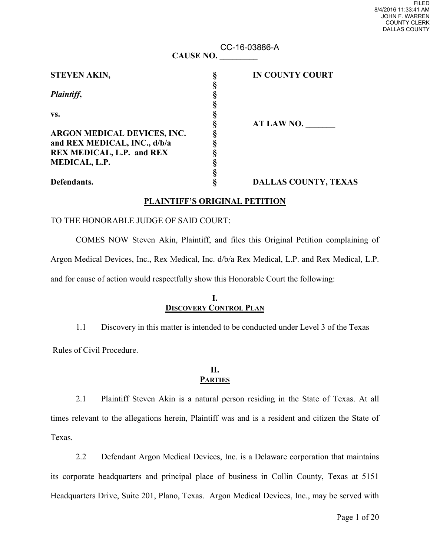| FII FD               |  |
|----------------------|--|
| 8/4/2016 11:33:41 AM |  |
| JOHN F WARREN        |  |
| <b>COUNTY CLERK</b>  |  |
| DALLAS COUNTY        |  |
|                      |  |

| <b>CAUSE NO.</b>             |  | CC-16-03886-A               |  |
|------------------------------|--|-----------------------------|--|
|                              |  |                             |  |
| <b>STEVEN AKIN,</b>          |  | <b>IN COUNTY COURT</b>      |  |
|                              |  |                             |  |
| Plaintiff,                   |  |                             |  |
|                              |  |                             |  |
| VS.                          |  |                             |  |
|                              |  | AT LAW NO.                  |  |
| ARGON MEDICAL DEVICES, INC.  |  |                             |  |
| and REX MEDICAL, INC., d/b/a |  |                             |  |
| REX MEDICAL, L.P. and REX    |  |                             |  |
| MEDICAL, L.P.                |  |                             |  |
|                              |  |                             |  |
| Defendants.                  |  | <b>DALLAS COUNTY, TEXAS</b> |  |

# **PLAINTIFF'S ORIGINAL PETITION**

# TO THE HONORABLE JUDGE OF SAID COURT:

 COMES NOW Steven Akin, Plaintiff, and files this Original Petition complaining of Argon Medical Devices, Inc., Rex Medical, Inc. d/b/a Rex Medical, L.P. and Rex Medical, L.P. and for cause of action would respectfully show this Honorable Court the following:

# **I. DISCOVERY CONTROL PLAN**

1.1 Discovery in this matter is intended to be conducted under Level 3 of the Texas

Rules of Civil Procedure.

#### **II. PARTIES**

 2.1 Plaintiff Steven Akin is a natural person residing in the State of Texas. At all times relevant to the allegations herein, Plaintiff was and is a resident and citizen the State of Texas.

 2.2 Defendant Argon Medical Devices, Inc. is a Delaware corporation that maintains its corporate headquarters and principal place of business in Collin County, Texas at 5151 Headquarters Drive, Suite 201, Plano, Texas. Argon Medical Devices, Inc., may be served with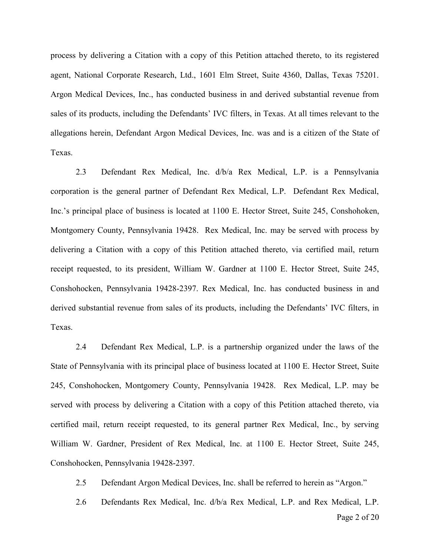process by delivering a Citation with a copy of this Petition attached thereto, to its registered agent, National Corporate Research, Ltd., 1601 Elm Street, Suite 4360, Dallas, Texas 75201. Argon Medical Devices, Inc., has conducted business in and derived substantial revenue from sales of its products, including the Defendants' IVC filters, in Texas. At all times relevant to the allegations herein, Defendant Argon Medical Devices, Inc. was and is a citizen of the State of Texas.

2.3 Defendant Rex Medical, Inc. d/b/a Rex Medical, L.P. is a Pennsylvania corporation is the general partner of Defendant Rex Medical, L.P. Defendant Rex Medical, Inc.'s principal place of business is located at 1100 E. Hector Street, Suite 245, Conshohoken, Montgomery County, Pennsylvania 19428. Rex Medical, Inc. may be served with process by delivering a Citation with a copy of this Petition attached thereto, via certified mail, return receipt requested, to its president, William W. Gardner at 1100 E. Hector Street, Suite 245, Conshohocken, Pennsylvania 19428-2397. Rex Medical, Inc. has conducted business in and derived substantial revenue from sales of its products, including the Defendants' IVC filters, in Texas.

2.4 Defendant Rex Medical, L.P. is a partnership organized under the laws of the State of Pennsylvania with its principal place of business located at 1100 E. Hector Street, Suite 245, Conshohocken, Montgomery County, Pennsylvania 19428. Rex Medical, L.P. may be served with process by delivering a Citation with a copy of this Petition attached thereto, via certified mail, return receipt requested, to its general partner Rex Medical, Inc., by serving William W. Gardner, President of Rex Medical, Inc. at 1100 E. Hector Street, Suite 245, Conshohocken, Pennsylvania 19428-2397.

2.5 Defendant Argon Medical Devices, Inc. shall be referred to herein as "Argon."

2.6 Defendants Rex Medical, Inc. d/b/a Rex Medical, L.P. and Rex Medical, L.P.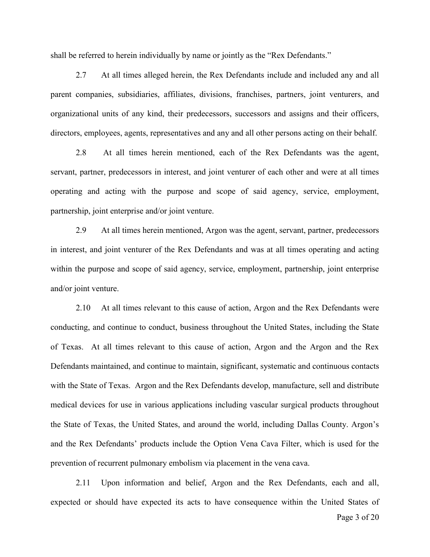shall be referred to herein individually by name or jointly as the "Rex Defendants."

2.7 At all times alleged herein, the Rex Defendants include and included any and all parent companies, subsidiaries, affiliates, divisions, franchises, partners, joint venturers, and organizational units of any kind, their predecessors, successors and assigns and their officers, directors, employees, agents, representatives and any and all other persons acting on their behalf.

2.8 At all times herein mentioned, each of the Rex Defendants was the agent, servant, partner, predecessors in interest, and joint venturer of each other and were at all times operating and acting with the purpose and scope of said agency, service, employment, partnership, joint enterprise and/or joint venture.

2.9 At all times herein mentioned, Argon was the agent, servant, partner, predecessors in interest, and joint venturer of the Rex Defendants and was at all times operating and acting within the purpose and scope of said agency, service, employment, partnership, joint enterprise and/or joint venture.

2.10 At all times relevant to this cause of action, Argon and the Rex Defendants were conducting, and continue to conduct, business throughout the United States, including the State of Texas. At all times relevant to this cause of action, Argon and the Argon and the Rex Defendants maintained, and continue to maintain, significant, systematic and continuous contacts with the State of Texas. Argon and the Rex Defendants develop, manufacture, sell and distribute medical devices for use in various applications including vascular surgical products throughout the State of Texas, the United States, and around the world, including Dallas County. Argon's and the Rex Defendants' products include the Option Vena Cava Filter, which is used for the prevention of recurrent pulmonary embolism via placement in the vena cava.

2.11 Upon information and belief, Argon and the Rex Defendants, each and all, expected or should have expected its acts to have consequence within the United States of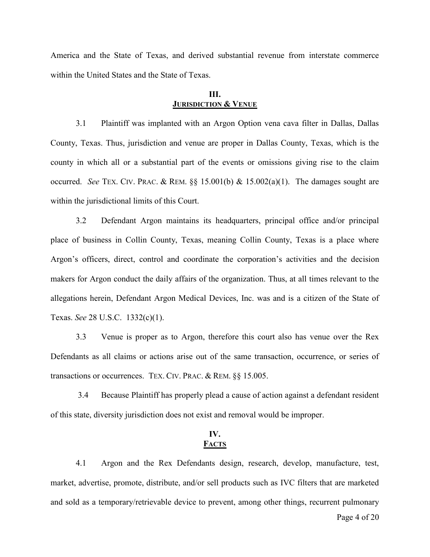America and the State of Texas, and derived substantial revenue from interstate commerce within the United States and the State of Texas.

## **III. JURISDICTION & VENUE**

3.1 Plaintiff was implanted with an Argon Option vena cava filter in Dallas, Dallas County, Texas. Thus, jurisdiction and venue are proper in Dallas County, Texas, which is the county in which all or a substantial part of the events or omissions giving rise to the claim occurred. *See* TEX. CIV. PRAC. & REM. §§ 15.001(b) & 15.002(a)(1). The damages sought are within the jurisdictional limits of this Court.

3.2 Defendant Argon maintains its headquarters, principal office and/or principal place of business in Collin County, Texas, meaning Collin County, Texas is a place where Argon's officers, direct, control and coordinate the corporation's activities and the decision makers for Argon conduct the daily affairs of the organization. Thus, at all times relevant to the allegations herein, Defendant Argon Medical Devices, Inc. was and is a citizen of the State of Texas. *See* 28 U.S.C. 1332(c)(1).

3.3 Venue is proper as to Argon, therefore this court also has venue over the Rex Defendants as all claims or actions arise out of the same transaction, occurrence, or series of transactions or occurrences. TEX. CIV. PRAC. & REM. §§ 15.005.

3.4 Because Plaintiff has properly plead a cause of action against a defendant resident of this state, diversity jurisdiction does not exist and removal would be improper.

# **IV. FACTS**

4.1 Argon and the Rex Defendants design, research, develop, manufacture, test, market, advertise, promote, distribute, and/or sell products such as IVC filters that are marketed and sold as a temporary/retrievable device to prevent, among other things, recurrent pulmonary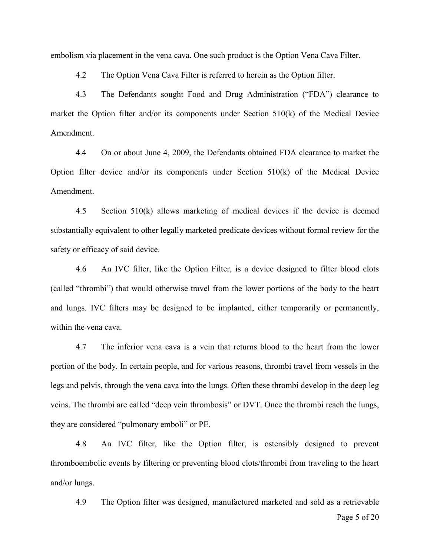embolism via placement in the vena cava. One such product is the Option Vena Cava Filter.

4.2 The Option Vena Cava Filter is referred to herein as the Option filter.

4.3 The Defendants sought Food and Drug Administration ("FDA") clearance to market the Option filter and/or its components under Section 510(k) of the Medical Device Amendment.

4.4 On or about June 4, 2009, the Defendants obtained FDA clearance to market the Option filter device and/or its components under Section 510(k) of the Medical Device Amendment.

4.5 Section 510(k) allows marketing of medical devices if the device is deemed substantially equivalent to other legally marketed predicate devices without formal review for the safety or efficacy of said device.

4.6 An IVC filter, like the Option Filter, is a device designed to filter blood clots (called "thrombi") that would otherwise travel from the lower portions of the body to the heart and lungs. IVC filters may be designed to be implanted, either temporarily or permanently, within the vena cava.

4.7 The inferior vena cava is a vein that returns blood to the heart from the lower portion of the body. In certain people, and for various reasons, thrombi travel from vessels in the legs and pelvis, through the vena cava into the lungs. Often these thrombi develop in the deep leg veins. The thrombi are called "deep vein thrombosis" or DVT. Once the thrombi reach the lungs, they are considered "pulmonary emboli" or PE.

4.8 An IVC filter, like the Option filter, is ostensibly designed to prevent thromboembolic events by filtering or preventing blood clots/thrombi from traveling to the heart and/or lungs.

Page 5 of 20 4.9 The Option filter was designed, manufactured marketed and sold as a retrievable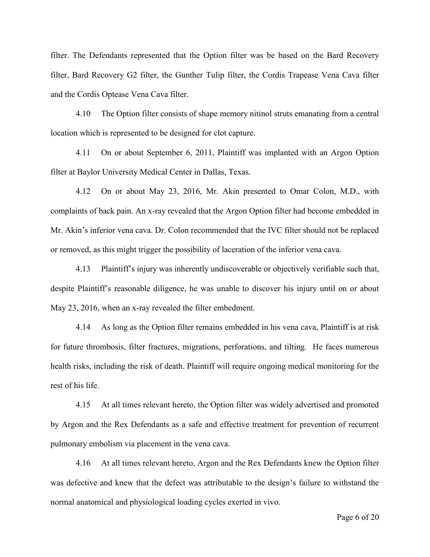filter. The Defendants represented that the Option filter was be based on the Bard Recovery filter, Bard Recovery G2 filter, the Gunther Tulip filter, the Cordis Trapease Vena Cava filter and the Cordis Optease Vena Cava filter.

4.10 The Option filter consists of shape memory nitinol struts emanating from a central location which is represented to be designed for clot capture.

4.11 On or about September 6, 2011, Plaintiff was implanted with an Argon Option filter at Baylor University Medical Center in Dallas, Texas.

4.12 On or about May 23, 2016, Mr. Akin presented to Omar Colon, M.D., with complaints of back pain. An x-ray revealed that the Argon Option filter had become embedded in Mr. Akin's inferior vena cava. Dr. Colon recommended that the IVC filter should not be replaced or removed, as this might trigger the possibility of laceration of the inferior vena cava.

4.13 Plaintiff's injury was inherently undiscoverable or objectively verifiable such that, despite Plaintiff's reasonable diligence, he was unable to discover his injury until on or about May 23, 2016, when an x-ray revealed the filter embedment.

4.14 As long as the Option filter remains embedded in his vena cava, Plaintiff is at risk for future thrombosis, filter fractures, migrations, perforations, and tilting. He faces numerous health risks, including the risk of death. Plaintiff will require ongoing medical monitoring for the rest of his life.

4.15 At all times relevant hereto, the Option filter was widely advertised and promoted by Argon and the Rex Defendants as a safe and effective treatment for prevention of recurrent pulmonary embolism via placement in the vena cava.

4.16 At all times relevant hereto, Argon and the Rex Defendants knew the Option filter was defective and knew that the defect was attributable to the design's failure to withstand the normal anatomical and physiological loading cycles exerted in vivo.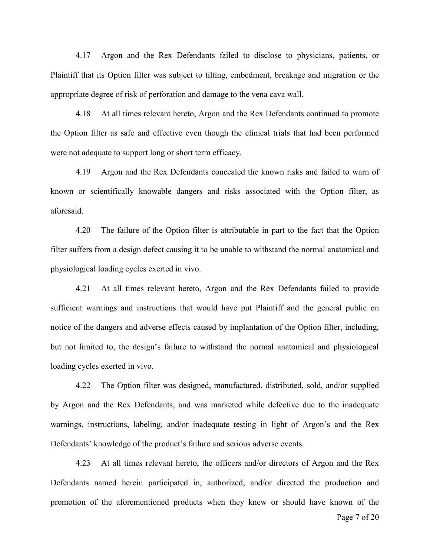4.17 Argon and the Rex Defendants failed to disclose to physicians, patients, or Plaintiff that its Option filter was subject to tilting, embedment, breakage and migration or the appropriate degree of risk of perforation and damage to the vena cava wall.

4.18 At all times relevant hereto, Argon and the Rex Defendants continued to promote the Option filter as safe and effective even though the clinical trials that had been performed were not adequate to support long or short term efficacy.

4.19 Argon and the Rex Defendants concealed the known risks and failed to warn of known or scientifically knowable dangers and risks associated with the Option filter, as aforesaid.

4.20 The failure of the Option filter is attributable in part to the fact that the Option filter suffers from a design defect causing it to be unable to withstand the normal anatomical and physiological loading cycles exerted in vivo.

4.21 At all times relevant hereto, Argon and the Rex Defendants failed to provide sufficient warnings and instructions that would have put Plaintiff and the general public on notice of the dangers and adverse effects caused by implantation of the Option filter, including, but not limited to, the design's failure to withstand the normal anatomical and physiological loading cycles exerted in vivo.

4.22 The Option filter was designed, manufactured, distributed, sold, and/or supplied by Argon and the Rex Defendants, and was marketed while defective due to the inadequate warnings, instructions, labeling, and/or inadequate testing in light of Argon's and the Rex Defendants' knowledge of the product's failure and serious adverse events.

4.23 At all times relevant hereto, the officers and/or directors of Argon and the Rex Defendants named herein participated in, authorized, and/or directed the production and promotion of the aforementioned products when they knew or should have known of the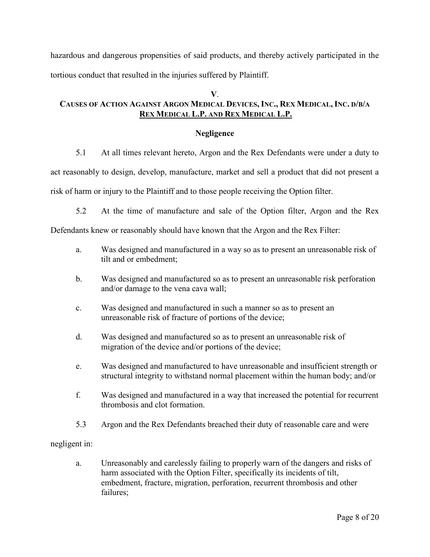hazardous and dangerous propensities of said products, and thereby actively participated in the tortious conduct that resulted in the injuries suffered by Plaintiff.

# **V**.

# **CAUSES OF ACTION AGAINST ARGON MEDICAL DEVICES, INC., REX MEDICAL, INC. D/B/A REX MEDICAL L.P. AND REX MEDICAL L.P.**

# **Negligence**

5.1 At all times relevant hereto, Argon and the Rex Defendants were under a duty to

act reasonably to design, develop, manufacture, market and sell a product that did not present a

risk of harm or injury to the Plaintiff and to those people receiving the Option filter.

5.2 At the time of manufacture and sale of the Option filter, Argon and the Rex

Defendants knew or reasonably should have known that the Argon and the Rex Filter:

- a. Was designed and manufactured in a way so as to present an unreasonable risk of tilt and or embedment;
- b. Was designed and manufactured so as to present an unreasonable risk perforation and/or damage to the vena cava wall;
- c. Was designed and manufactured in such a manner so as to present an unreasonable risk of fracture of portions of the device;
- d. Was designed and manufactured so as to present an unreasonable risk of migration of the device and/or portions of the device;
- e. Was designed and manufactured to have unreasonable and insufficient strength or structural integrity to withstand normal placement within the human body; and/or
- f. Was designed and manufactured in a way that increased the potential for recurrent thrombosis and clot formation.
- 5.3 Argon and the Rex Defendants breached their duty of reasonable care and were

## negligent in:

a. Unreasonably and carelessly failing to properly warn of the dangers and risks of harm associated with the Option Filter, specifically its incidents of tilt, embedment, fracture, migration, perforation, recurrent thrombosis and other failures;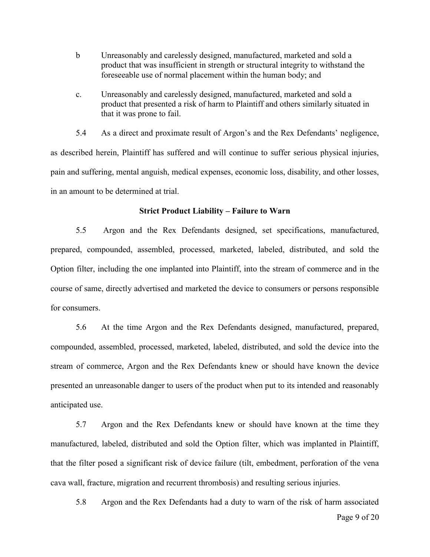- b Unreasonably and carelessly designed, manufactured, marketed and sold a product that was insufficient in strength or structural integrity to withstand the foreseeable use of normal placement within the human body; and
- c. Unreasonably and carelessly designed, manufactured, marketed and sold a product that presented a risk of harm to Plaintiff and others similarly situated in that it was prone to fail.

5.4 As a direct and proximate result of Argon's and the Rex Defendants' negligence, as described herein, Plaintiff has suffered and will continue to suffer serious physical injuries, pain and suffering, mental anguish, medical expenses, economic loss, disability, and other losses, in an amount to be determined at trial.

#### **Strict Product Liability – Failure to Warn**

5.5 Argon and the Rex Defendants designed, set specifications, manufactured, prepared, compounded, assembled, processed, marketed, labeled, distributed, and sold the Option filter, including the one implanted into Plaintiff, into the stream of commerce and in the course of same, directly advertised and marketed the device to consumers or persons responsible for consumers.

5.6 At the time Argon and the Rex Defendants designed, manufactured, prepared, compounded, assembled, processed, marketed, labeled, distributed, and sold the device into the stream of commerce, Argon and the Rex Defendants knew or should have known the device presented an unreasonable danger to users of the product when put to its intended and reasonably anticipated use.

5.7 Argon and the Rex Defendants knew or should have known at the time they manufactured, labeled, distributed and sold the Option filter, which was implanted in Plaintiff, that the filter posed a significant risk of device failure (tilt, embedment, perforation of the vena cava wall, fracture, migration and recurrent thrombosis) and resulting serious injuries.

Page 9 of 20 5.8 Argon and the Rex Defendants had a duty to warn of the risk of harm associated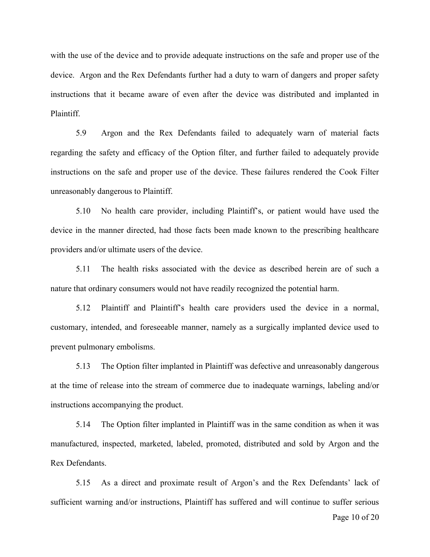with the use of the device and to provide adequate instructions on the safe and proper use of the device. Argon and the Rex Defendants further had a duty to warn of dangers and proper safety instructions that it became aware of even after the device was distributed and implanted in Plaintiff.

5.9 Argon and the Rex Defendants failed to adequately warn of material facts regarding the safety and efficacy of the Option filter, and further failed to adequately provide instructions on the safe and proper use of the device. These failures rendered the Cook Filter unreasonably dangerous to Plaintiff.

5.10 No health care provider, including Plaintiff's, or patient would have used the device in the manner directed, had those facts been made known to the prescribing healthcare providers and/or ultimate users of the device.

5.11 The health risks associated with the device as described herein are of such a nature that ordinary consumers would not have readily recognized the potential harm.

5.12 Plaintiff and Plaintiff's health care providers used the device in a normal, customary, intended, and foreseeable manner, namely as a surgically implanted device used to prevent pulmonary embolisms.

5.13 The Option filter implanted in Plaintiff was defective and unreasonably dangerous at the time of release into the stream of commerce due to inadequate warnings, labeling and/or instructions accompanying the product.

5.14 The Option filter implanted in Plaintiff was in the same condition as when it was manufactured, inspected, marketed, labeled, promoted, distributed and sold by Argon and the Rex Defendants.

5.15 As a direct and proximate result of Argon's and the Rex Defendants' lack of sufficient warning and/or instructions, Plaintiff has suffered and will continue to suffer serious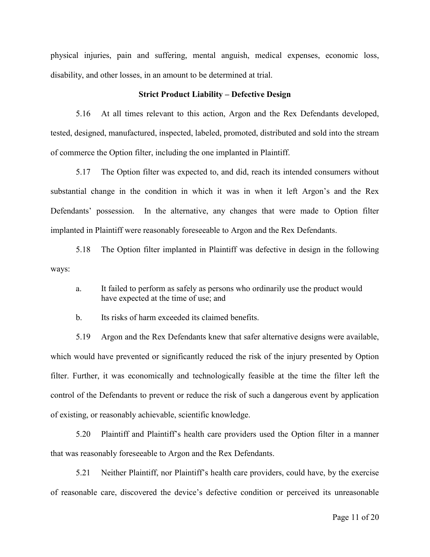physical injuries, pain and suffering, mental anguish, medical expenses, economic loss, disability, and other losses, in an amount to be determined at trial.

#### **Strict Product Liability – Defective Design**

5.16 At all times relevant to this action, Argon and the Rex Defendants developed, tested, designed, manufactured, inspected, labeled, promoted, distributed and sold into the stream of commerce the Option filter, including the one implanted in Plaintiff.

5.17 The Option filter was expected to, and did, reach its intended consumers without substantial change in the condition in which it was in when it left Argon's and the Rex Defendants' possession. In the alternative, any changes that were made to Option filter implanted in Plaintiff were reasonably foreseeable to Argon and the Rex Defendants.

5.18 The Option filter implanted in Plaintiff was defective in design in the following ways:

a. It failed to perform as safely as persons who ordinarily use the product would have expected at the time of use; and

b. Its risks of harm exceeded its claimed benefits.

5.19 Argon and the Rex Defendants knew that safer alternative designs were available, which would have prevented or significantly reduced the risk of the injury presented by Option filter. Further, it was economically and technologically feasible at the time the filter left the control of the Defendants to prevent or reduce the risk of such a dangerous event by application of existing, or reasonably achievable, scientific knowledge.

5.20 Plaintiff and Plaintiff's health care providers used the Option filter in a manner that was reasonably foreseeable to Argon and the Rex Defendants.

5.21 Neither Plaintiff, nor Plaintiff's health care providers, could have, by the exercise of reasonable care, discovered the device's defective condition or perceived its unreasonable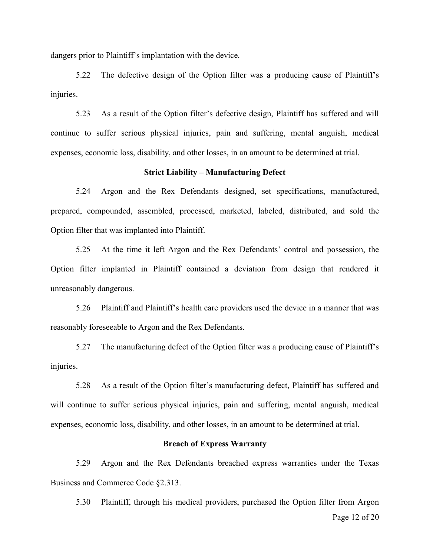dangers prior to Plaintiff's implantation with the device.

5.22 The defective design of the Option filter was a producing cause of Plaintiff's injuries.

5.23 As a result of the Option filter's defective design, Plaintiff has suffered and will continue to suffer serious physical injuries, pain and suffering, mental anguish, medical expenses, economic loss, disability, and other losses, in an amount to be determined at trial.

#### **Strict Liability – Manufacturing Defect**

5.24 Argon and the Rex Defendants designed, set specifications, manufactured, prepared, compounded, assembled, processed, marketed, labeled, distributed, and sold the Option filter that was implanted into Plaintiff.

5.25 At the time it left Argon and the Rex Defendants' control and possession, the Option filter implanted in Plaintiff contained a deviation from design that rendered it unreasonably dangerous.

5.26 Plaintiff and Plaintiff's health care providers used the device in a manner that was reasonably foreseeable to Argon and the Rex Defendants.

5.27 The manufacturing defect of the Option filter was a producing cause of Plaintiff's injuries.

5.28 As a result of the Option filter's manufacturing defect, Plaintiff has suffered and will continue to suffer serious physical injuries, pain and suffering, mental anguish, medical expenses, economic loss, disability, and other losses, in an amount to be determined at trial.

#### **Breach of Express Warranty**

5.29 Argon and the Rex Defendants breached express warranties under the Texas Business and Commerce Code §2.313.

Page 12 of 20 5.30 Plaintiff, through his medical providers, purchased the Option filter from Argon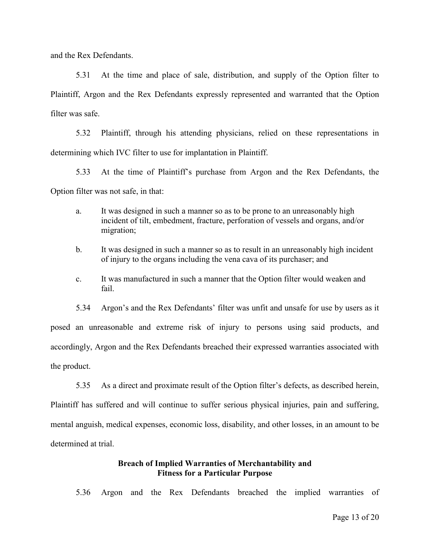and the Rex Defendants.

5.31 At the time and place of sale, distribution, and supply of the Option filter to Plaintiff, Argon and the Rex Defendants expressly represented and warranted that the Option filter was safe.

5.32 Plaintiff, through his attending physicians, relied on these representations in determining which IVC filter to use for implantation in Plaintiff.

5.33 At the time of Plaintiff's purchase from Argon and the Rex Defendants, the Option filter was not safe, in that:

- a. It was designed in such a manner so as to be prone to an unreasonably high incident of tilt, embedment, fracture, perforation of vessels and organs, and/or migration;
- b. It was designed in such a manner so as to result in an unreasonably high incident of injury to the organs including the vena cava of its purchaser; and
- c. It was manufactured in such a manner that the Option filter would weaken and fail.

5.34 Argon's and the Rex Defendants' filter was unfit and unsafe for use by users as it posed an unreasonable and extreme risk of injury to persons using said products, and accordingly, Argon and the Rex Defendants breached their expressed warranties associated with the product.

5.35 As a direct and proximate result of the Option filter's defects, as described herein, Plaintiff has suffered and will continue to suffer serious physical injuries, pain and suffering, mental anguish, medical expenses, economic loss, disability, and other losses, in an amount to be determined at trial.

## **Breach of Implied Warranties of Merchantability and Fitness for a Particular Purpose**

5.36 Argon and the Rex Defendants breached the implied warranties of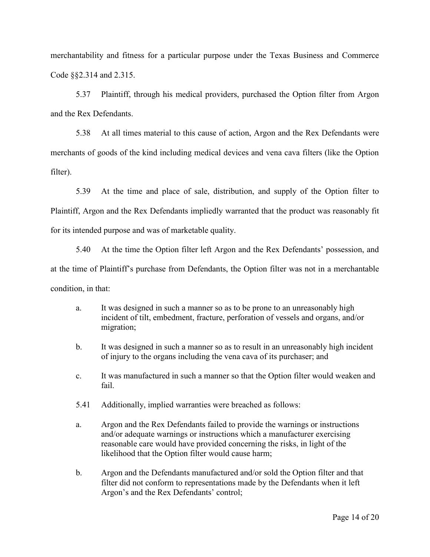merchantability and fitness for a particular purpose under the Texas Business and Commerce Code §§2.314 and 2.315.

5.37 Plaintiff, through his medical providers, purchased the Option filter from Argon and the Rex Defendants.

5.38 At all times material to this cause of action, Argon and the Rex Defendants were merchants of goods of the kind including medical devices and vena cava filters (like the Option filter).

5.39 At the time and place of sale, distribution, and supply of the Option filter to Plaintiff, Argon and the Rex Defendants impliedly warranted that the product was reasonably fit for its intended purpose and was of marketable quality.

5.40 At the time the Option filter left Argon and the Rex Defendants' possession, and at the time of Plaintiff's purchase from Defendants, the Option filter was not in a merchantable condition, in that:

- a. It was designed in such a manner so as to be prone to an unreasonably high incident of tilt, embedment, fracture, perforation of vessels and organs, and/or migration;
- b. It was designed in such a manner so as to result in an unreasonably high incident of injury to the organs including the vena cava of its purchaser; and
- c. It was manufactured in such a manner so that the Option filter would weaken and fail.
- 5.41 Additionally, implied warranties were breached as follows:
- a. Argon and the Rex Defendants failed to provide the warnings or instructions and/or adequate warnings or instructions which a manufacturer exercising reasonable care would have provided concerning the risks, in light of the likelihood that the Option filter would cause harm;
- b. Argon and the Defendants manufactured and/or sold the Option filter and that filter did not conform to representations made by the Defendants when it left Argon's and the Rex Defendants' control;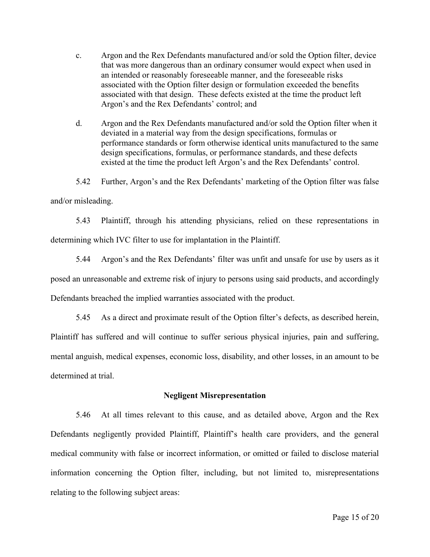- c. Argon and the Rex Defendants manufactured and/or sold the Option filter, device that was more dangerous than an ordinary consumer would expect when used in an intended or reasonably foreseeable manner, and the foreseeable risks associated with the Option filter design or formulation exceeded the benefits associated with that design. These defects existed at the time the product left Argon's and the Rex Defendants' control; and
- d. Argon and the Rex Defendants manufactured and/or sold the Option filter when it deviated in a material way from the design specifications, formulas or performance standards or form otherwise identical units manufactured to the same design specifications, formulas, or performance standards, and these defects existed at the time the product left Argon's and the Rex Defendants' control.

5.42 Further, Argon's and the Rex Defendants' marketing of the Option filter was false and/or misleading.

5.43 Plaintiff, through his attending physicians, relied on these representations in determining which IVC filter to use for implantation in the Plaintiff.

5.44 Argon's and the Rex Defendants' filter was unfit and unsafe for use by users as it posed an unreasonable and extreme risk of injury to persons using said products, and accordingly Defendants breached the implied warranties associated with the product.

5.45 As a direct and proximate result of the Option filter's defects, as described herein, Plaintiff has suffered and will continue to suffer serious physical injuries, pain and suffering, mental anguish, medical expenses, economic loss, disability, and other losses, in an amount to be determined at trial.

## **Negligent Misrepresentation**

5.46 At all times relevant to this cause, and as detailed above, Argon and the Rex Defendants negligently provided Plaintiff, Plaintiff's health care providers, and the general medical community with false or incorrect information, or omitted or failed to disclose material information concerning the Option filter, including, but not limited to, misrepresentations relating to the following subject areas: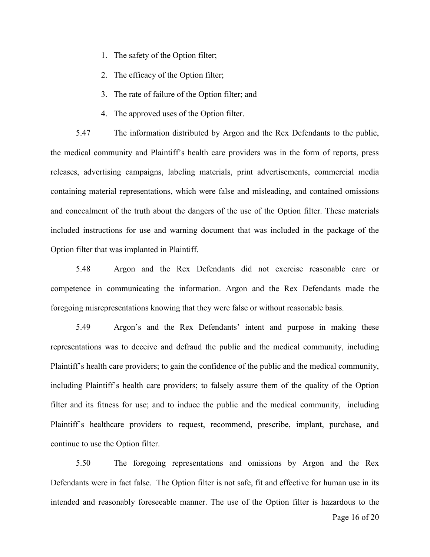- 1. The safety of the Option filter;
- 2. The efficacy of the Option filter;
- 3. The rate of failure of the Option filter; and
- 4. The approved uses of the Option filter.

5.47 The information distributed by Argon and the Rex Defendants to the public, the medical community and Plaintiff's health care providers was in the form of reports, press releases, advertising campaigns, labeling materials, print advertisements, commercial media containing material representations, which were false and misleading, and contained omissions and concealment of the truth about the dangers of the use of the Option filter. These materials included instructions for use and warning document that was included in the package of the Option filter that was implanted in Plaintiff.

5.48 Argon and the Rex Defendants did not exercise reasonable care or competence in communicating the information. Argon and the Rex Defendants made the foregoing misrepresentations knowing that they were false or without reasonable basis.

5.49 Argon's and the Rex Defendants' intent and purpose in making these representations was to deceive and defraud the public and the medical community, including Plaintiff's health care providers; to gain the confidence of the public and the medical community, including Plaintiff's health care providers; to falsely assure them of the quality of the Option filter and its fitness for use; and to induce the public and the medical community, including Plaintiff's healthcare providers to request, recommend, prescribe, implant, purchase, and continue to use the Option filter.

5.50 The foregoing representations and omissions by Argon and the Rex Defendants were in fact false. The Option filter is not safe, fit and effective for human use in its intended and reasonably foreseeable manner. The use of the Option filter is hazardous to the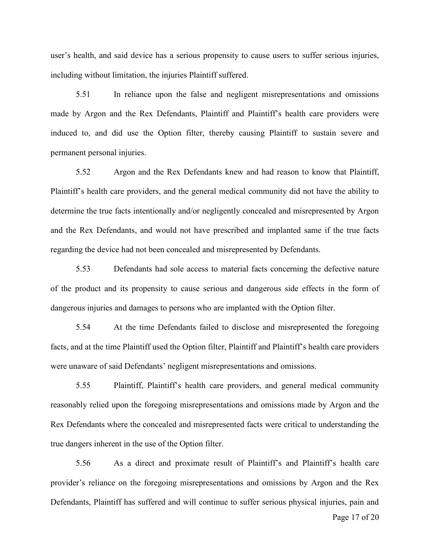user's health, and said device has a serious propensity to cause users to suffer serious injuries, including without limitation, the injuries Plaintiff suffered.

5.51 In reliance upon the false and negligent misrepresentations and omissions made by Argon and the Rex Defendants, Plaintiff and Plaintiff's health care providers were induced to, and did use the Option filter, thereby causing Plaintiff to sustain severe and permanent personal injuries.

5.52 Argon and the Rex Defendants knew and had reason to know that Plaintiff, Plaintiff's health care providers, and the general medical community did not have the ability to determine the true facts intentionally and/or negligently concealed and misrepresented by Argon and the Rex Defendants, and would not have prescribed and implanted same if the true facts regarding the device had not been concealed and misrepresented by Defendants.

5.53 Defendants had sole access to material facts concerning the defective nature of the product and its propensity to cause serious and dangerous side effects in the form of dangerous injuries and damages to persons who are implanted with the Option filter.

5.54 At the time Defendants failed to disclose and misrepresented the foregoing facts, and at the time Plaintiff used the Option filter, Plaintiff and Plaintiff's health care providers were unaware of said Defendants' negligent misrepresentations and omissions.

5.55 Plaintiff, Plaintiff's health care providers, and general medical community reasonably relied upon the foregoing misrepresentations and omissions made by Argon and the Rex Defendants where the concealed and misrepresented facts were critical to understanding the true dangers inherent in the use of the Option filter.

5.56 As a direct and proximate result of Plaintiff's and Plaintiff's health care provider's reliance on the foregoing misrepresentations and omissions by Argon and the Rex Defendants, Plaintiff has suffered and will continue to suffer serious physical injuries, pain and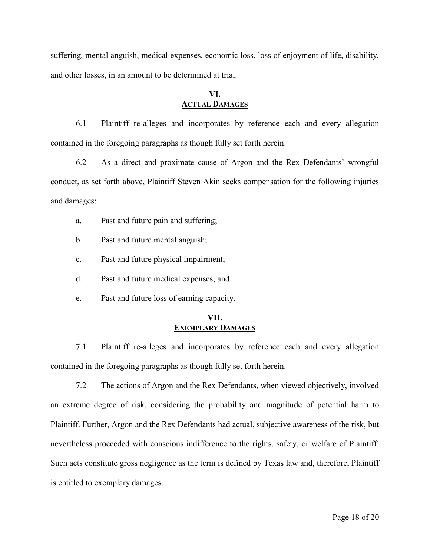suffering, mental anguish, medical expenses, economic loss, loss of enjoyment of life, disability, and other losses, in an amount to be determined at trial.

# **VI. ACTUAL DAMAGES**

6.1 Plaintiff re-alleges and incorporates by reference each and every allegation contained in the foregoing paragraphs as though fully set forth herein.

6.2 As a direct and proximate cause of Argon and the Rex Defendants' wrongful conduct, as set forth above, Plaintiff Steven Akin seeks compensation for the following injuries and damages:

- a. Past and future pain and suffering;
- b. Past and future mental anguish;
- c. Past and future physical impairment;
- d. Past and future medical expenses; and
- e. Past and future loss of earning capacity.

## **VII. EXEMPLARY DAMAGES**

7.1 Plaintiff re-alleges and incorporates by reference each and every allegation contained in the foregoing paragraphs as though fully set forth herein.

7.2 The actions of Argon and the Rex Defendants, when viewed objectively, involved an extreme degree of risk, considering the probability and magnitude of potential harm to Plaintiff. Further, Argon and the Rex Defendants had actual, subjective awareness of the risk, but nevertheless proceeded with conscious indifference to the rights, safety, or welfare of Plaintiff. Such acts constitute gross negligence as the term is defined by Texas law and, therefore, Plaintiff is entitled to exemplary damages.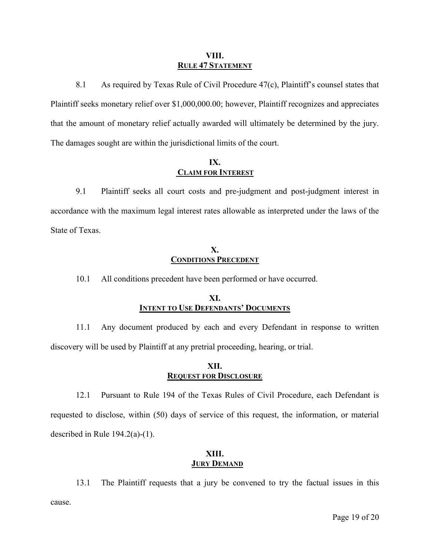#### **VIII. RULE 47 STATEMENT**

8.1 As required by Texas Rule of Civil Procedure 47(c), Plaintiff's counsel states that Plaintiff seeks monetary relief over \$1,000,000.00; however, Plaintiff recognizes and appreciates that the amount of monetary relief actually awarded will ultimately be determined by the jury. The damages sought are within the jurisdictional limits of the court.

# **IX. CLAIM FOR INTEREST**

9.1 Plaintiff seeks all court costs and pre-judgment and post-judgment interest in accordance with the maximum legal interest rates allowable as interpreted under the laws of the State of Texas.

## **X. CONDITIONS PRECEDENT**

10.1 All conditions precedent have been performed or have occurred.

# **XI. INTENT TO USE DEFENDANTS' DOCUMENTS**

11.1 Any document produced by each and every Defendant in response to written discovery will be used by Plaintiff at any pretrial proceeding, hearing, or trial.

# **XII. REQUEST FOR DISCLOSURE**

12.1 Pursuant to Rule 194 of the Texas Rules of Civil Procedure, each Defendant is requested to disclose, within (50) days of service of this request, the information, or material described in Rule 194.2(a)-(1).

# **XIII. JURY DEMAND**

13.1 The Plaintiff requests that a jury be convened to try the factual issues in this cause.